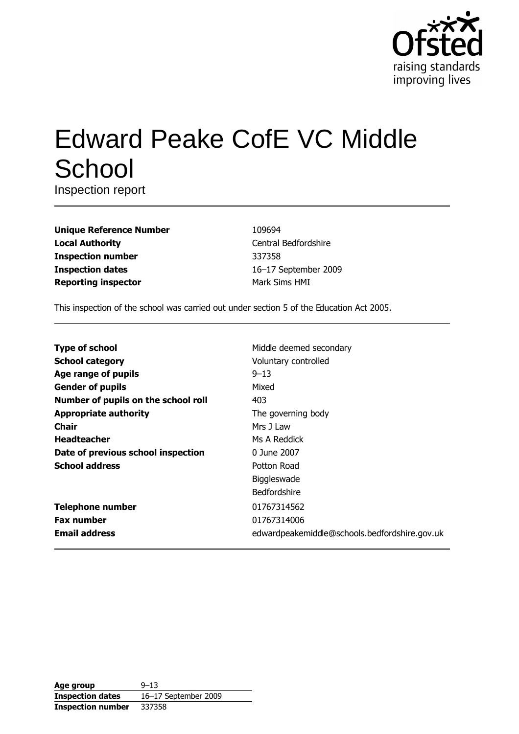

# **Edward Peake CofE VC Middle** School

Inspection report

| <b>Unique Reference Number</b> |
|--------------------------------|
| <b>Local Authority</b>         |
| <b>Inspection number</b>       |
| <b>Inspection dates</b>        |
| <b>Reporting inspector</b>     |

109694 Central Bedfordshire 337358 16-17 September 2009 Mark Sims HMI

This inspection of the school was carried out under section 5 of the Education Act 2005.

| <b>Type of school</b>               | Middle deemed secondary                       |
|-------------------------------------|-----------------------------------------------|
| <b>School category</b>              | Voluntary controlled                          |
| Age range of pupils                 | $9 - 13$                                      |
| <b>Gender of pupils</b>             | Mixed                                         |
| Number of pupils on the school roll | 403                                           |
| <b>Appropriate authority</b>        | The governing body                            |
| <b>Chair</b>                        | Mrs 1 Law                                     |
| <b>Headteacher</b>                  | Ms A Reddick                                  |
| Date of previous school inspection  | 0 June 2007                                   |
| <b>School address</b>               | Potton Road                                   |
|                                     | Biggleswade                                   |
|                                     | <b>Bedfordshire</b>                           |
| <b>Telephone number</b>             | 01767314562                                   |
| <b>Fax number</b>                   | 01767314006                                   |
| <b>Email address</b>                | edwardpeakemiddle@schools.bedfordshire.gov.uk |

| Age group                | $9 - 13$             |
|--------------------------|----------------------|
| <b>Inspection dates</b>  | 16-17 September 2009 |
| <b>Inspection number</b> | 337358               |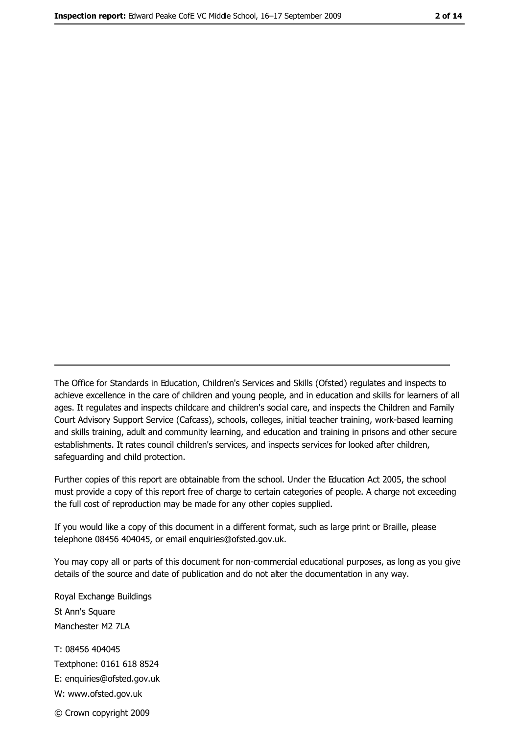The Office for Standards in Education, Children's Services and Skills (Ofsted) regulates and inspects to achieve excellence in the care of children and young people, and in education and skills for learners of all ages. It regulates and inspects childcare and children's social care, and inspects the Children and Family Court Advisory Support Service (Cafcass), schools, colleges, initial teacher training, work-based learning and skills training, adult and community learning, and education and training in prisons and other secure establishments. It rates council children's services, and inspects services for looked after children, safequarding and child protection.

Further copies of this report are obtainable from the school. Under the Education Act 2005, the school must provide a copy of this report free of charge to certain categories of people. A charge not exceeding the full cost of reproduction may be made for any other copies supplied.

If you would like a copy of this document in a different format, such as large print or Braille, please telephone 08456 404045, or email enquiries@ofsted.gov.uk.

You may copy all or parts of this document for non-commercial educational purposes, as long as you give details of the source and date of publication and do not alter the documentation in any way.

Royal Exchange Buildings St Ann's Square Manchester M2 7LA T: 08456 404045 Textphone: 0161 618 8524 E: enquiries@ofsted.gov.uk W: www.ofsted.gov.uk © Crown copyright 2009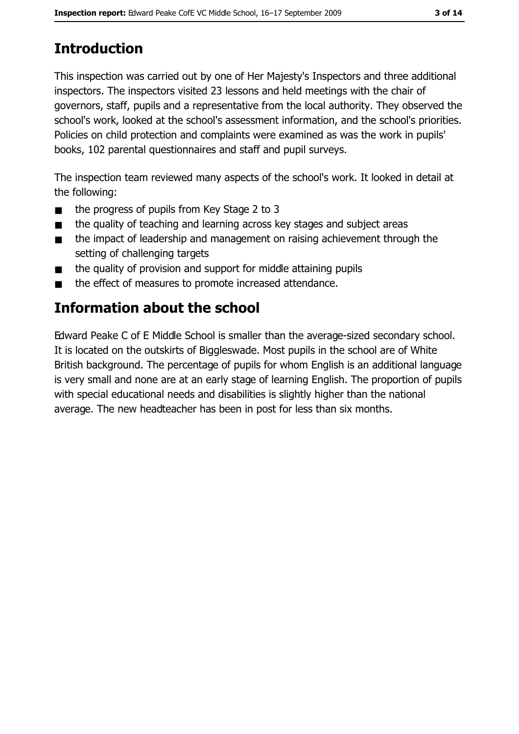# **Introduction**

This inspection was carried out by one of Her Majesty's Inspectors and three additional inspectors. The inspectors visited 23 lessons and held meetings with the chair of governors, staff, pupils and a representative from the local authority. They observed the school's work, looked at the school's assessment information, and the school's priorities. Policies on child protection and complaints were examined as was the work in pupils' books, 102 parental questionnaires and staff and pupil surveys.

The inspection team reviewed many aspects of the school's work. It looked in detail at the following:

- the progress of pupils from Key Stage 2 to 3  $\blacksquare$
- the quality of teaching and learning across key stages and subject areas  $\blacksquare$
- the impact of leadership and management on raising achievement through the  $\blacksquare$ setting of challenging targets
- the quality of provision and support for middle attaining pupils  $\blacksquare$
- the effect of measures to promote increased attendance.  $\blacksquare$

# **Information about the school**

Edward Peake C of E Middle School is smaller than the average-sized secondary school. It is located on the outskirts of Biggleswade. Most pupils in the school are of White British background. The percentage of pupils for whom English is an additional language is very small and none are at an early stage of learning English. The proportion of pupils with special educational needs and disabilities is slightly higher than the national average. The new headteacher has been in post for less than six months.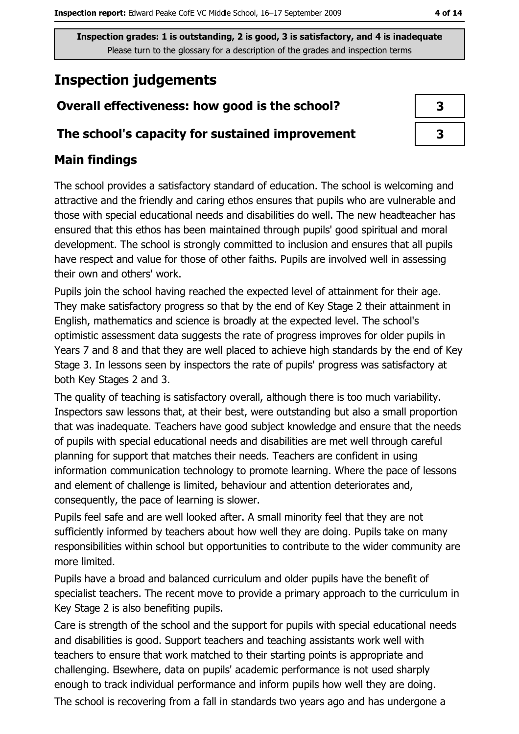# **Inspection judgements**

## Overall effectiveness: how good is the school?

### The school's capacity for sustained improvement

## **Main findings**

The school provides a satisfactory standard of education. The school is welcoming and attractive and the friendly and caring ethos ensures that pupils who are vulnerable and those with special educational needs and disabilities do well. The new headteacher has ensured that this ethos has been maintained through pupils' good spiritual and moral development. The school is strongly committed to inclusion and ensures that all pupils have respect and value for those of other faiths. Pupils are involved well in assessing their own and others' work.

Pupils join the school having reached the expected level of attainment for their age. They make satisfactory progress so that by the end of Key Stage 2 their attainment in English, mathematics and science is broadly at the expected level. The school's optimistic assessment data suggests the rate of progress improves for older pupils in Years 7 and 8 and that they are well placed to achieve high standards by the end of Key Stage 3. In lessons seen by inspectors the rate of pupils' progress was satisfactory at both Key Stages 2 and 3.

The quality of teaching is satisfactory overall, although there is too much variability. Inspectors saw lessons that, at their best, were outstanding but also a small proportion that was inadequate. Teachers have good subject knowledge and ensure that the needs of pupils with special educational needs and disabilities are met well through careful planning for support that matches their needs. Teachers are confident in using information communication technology to promote learning. Where the pace of lessons and element of challenge is limited, behaviour and attention deteriorates and, consequently, the pace of learning is slower.

Pupils feel safe and are well looked after. A small minority feel that they are not sufficiently informed by teachers about how well they are doing. Pupils take on many responsibilities within school but opportunities to contribute to the wider community are more limited.

Pupils have a broad and balanced curriculum and older pupils have the benefit of specialist teachers. The recent move to provide a primary approach to the curriculum in Key Stage 2 is also benefiting pupils.

Care is strength of the school and the support for pupils with special educational needs and disabilities is good. Support teachers and teaching assistants work well with teachers to ensure that work matched to their starting points is appropriate and challenging. Elsewhere, data on pupils' academic performance is not used sharply enough to track individual performance and inform pupils how well they are doing.

The school is recovering from a fall in standards two vears ago and has undergone a

| 3 |
|---|
| 3 |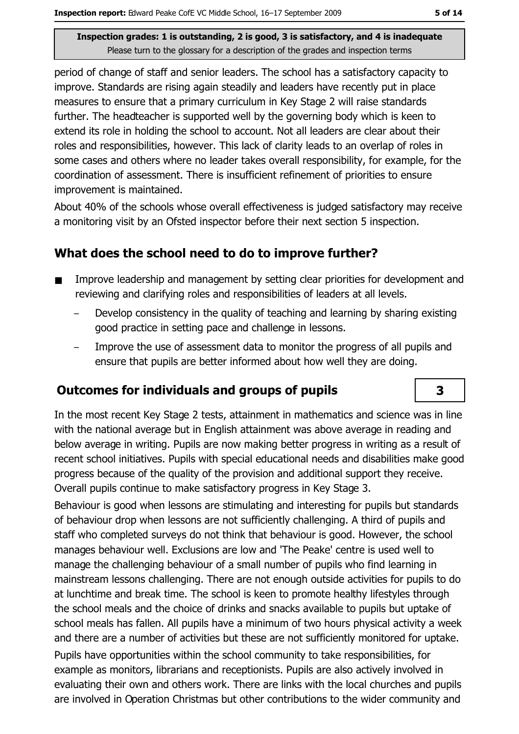period of change of staff and senior leaders. The school has a satisfactory capacity to improve. Standards are rising again steadily and leaders have recently put in place measures to ensure that a primary curriculum in Key Stage 2 will raise standards further. The headteacher is supported well by the governing body which is keen to extend its role in holding the school to account. Not all leaders are clear about their roles and responsibilities, however. This lack of clarity leads to an overlap of roles in some cases and others where no leader takes overall responsibility, for example, for the coordination of assessment. There is insufficient refinement of priorities to ensure improvement is maintained.

About 40% of the schools whose overall effectiveness is judged satisfactory may receive a monitoring visit by an Ofsted inspector before their next section 5 inspection.

# What does the school need to do to improve further?

- Improve leadership and management by setting clear priorities for development and  $\blacksquare$ reviewing and clarifying roles and responsibilities of leaders at all levels.
	- Develop consistency in the quality of teaching and learning by sharing existing good practice in setting pace and challenge in lessons.
	- Improve the use of assessment data to monitor the progress of all pupils and ensure that pupils are better informed about how well they are doing.

## Outcomes for individuals and groups of pupils

In the most recent Key Stage 2 tests, attainment in mathematics and science was in line with the national average but in English attainment was above average in reading and below average in writing. Pupils are now making better progress in writing as a result of recent school initiatives. Pupils with special educational needs and disabilities make good progress because of the quality of the provision and additional support they receive. Overall pupils continue to make satisfactory progress in Key Stage 3.

Behaviour is good when lessons are stimulating and interesting for pupils but standards of behaviour drop when lessons are not sufficiently challenging. A third of pupils and staff who completed surveys do not think that behaviour is good. However, the school manages behaviour well. Exclusions are low and 'The Peake' centre is used well to manage the challenging behaviour of a small number of pupils who find learning in mainstream lessons challenging. There are not enough outside activities for pupils to do at lunchtime and break time. The school is keen to promote healthy lifestyles through the school meals and the choice of drinks and snacks available to pupils but uptake of school meals has fallen. All pupils have a minimum of two hours physical activity a week and there are a number of activities but these are not sufficiently monitored for uptake. Pupils have opportunities within the school community to take responsibilities, for example as monitors, librarians and receptionists. Pupils are also actively involved in evaluating their own and others work. There are links with the local churches and pupils are involved in Operation Christmas but other contributions to the wider community and

# $\overline{\mathbf{3}}$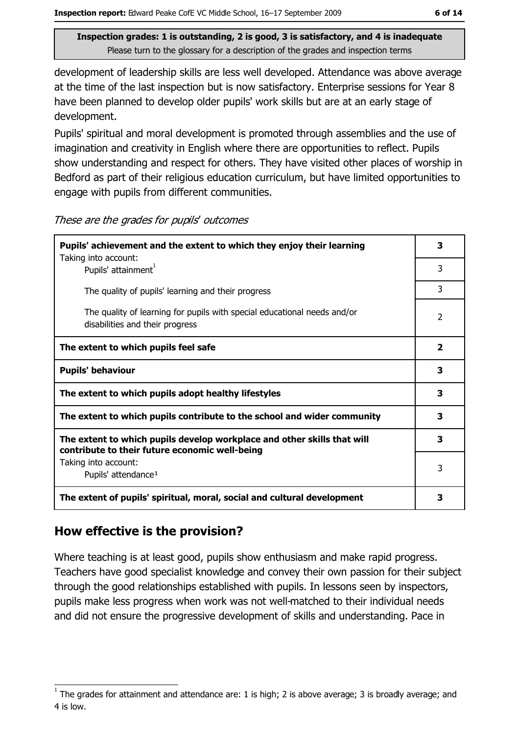development of leadership skills are less well developed. Attendance was above average at the time of the last inspection but is now satisfactory. Enterprise sessions for Year 8 have been planned to develop older pupils' work skills but are at an early stage of development.

Pupils' spiritual and moral development is promoted through assemblies and the use of imagination and creativity in English where there are opportunities to reflect. Pupils show understanding and respect for others. They have visited other places of worship in Bedford as part of their religious education curriculum, but have limited opportunities to engage with pupils from different communities.

| These are the grades for pupils' outcomes |  |  |  |
|-------------------------------------------|--|--|--|
|-------------------------------------------|--|--|--|

| Pupils' achievement and the extent to which they enjoy their learning<br>Taking into account:                             | 3              |
|---------------------------------------------------------------------------------------------------------------------------|----------------|
| Pupils' attainment <sup>1</sup>                                                                                           | 3              |
| The quality of pupils' learning and their progress                                                                        | 3              |
| The quality of learning for pupils with special educational needs and/or<br>disabilities and their progress               | 2              |
| The extent to which pupils feel safe                                                                                      | $\overline{2}$ |
| <b>Pupils' behaviour</b>                                                                                                  | 3              |
| The extent to which pupils adopt healthy lifestyles                                                                       | 3              |
| The extent to which pupils contribute to the school and wider community                                                   | 3              |
| The extent to which pupils develop workplace and other skills that will<br>contribute to their future economic well-being | 3              |
| Taking into account:                                                                                                      | 3              |
| Pupils' attendance <sup>1</sup>                                                                                           |                |
| The extent of pupils' spiritual, moral, social and cultural development                                                   | 3              |

## How effective is the provision?

Where teaching is at least good, pupils show enthusiasm and make rapid progress. Teachers have good specialist knowledge and convey their own passion for their subject through the good relationships established with pupils. In lessons seen by inspectors, pupils make less progress when work was not well-matched to their individual needs and did not ensure the progressive development of skills and understanding. Pace in

The grades for attainment and attendance are: 1 is high; 2 is above average; 3 is broadly average; and 4 is low.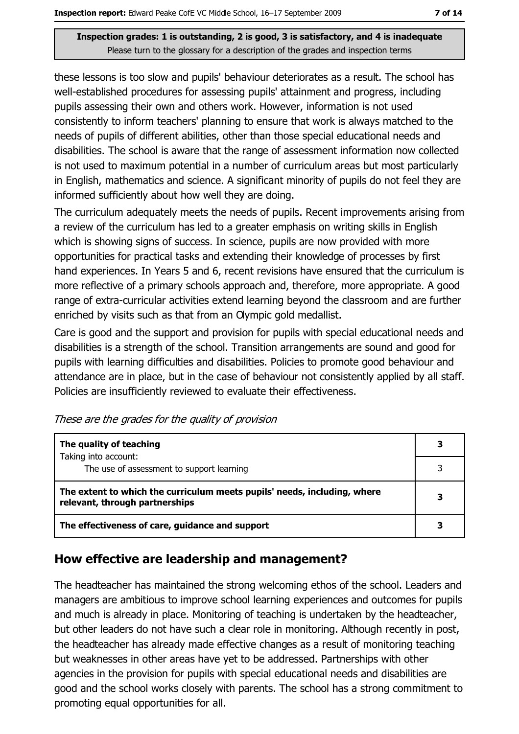these lessons is too slow and pupils' behaviour deteriorates as a result. The school has well-established procedures for assessing pupils' attainment and progress, including pupils assessing their own and others work. However, information is not used consistently to inform teachers' planning to ensure that work is always matched to the needs of pupils of different abilities, other than those special educational needs and disabilities. The school is aware that the range of assessment information now collected is not used to maximum potential in a number of curriculum areas but most particularly in English, mathematics and science. A significant minority of pupils do not feel they are informed sufficiently about how well they are doing.

The curriculum adequately meets the needs of pupils. Recent improvements arising from a review of the curriculum has led to a greater emphasis on writing skills in English which is showing signs of success. In science, pupils are now provided with more opportunities for practical tasks and extending their knowledge of processes by first hand experiences. In Years 5 and 6, recent revisions have ensured that the curriculum is more reflective of a primary schools approach and, therefore, more appropriate. A good range of extra-curricular activities extend learning beyond the classroom and are further enriched by visits such as that from an Olympic gold medallist.

Care is good and the support and provision for pupils with special educational needs and disabilities is a strength of the school. Transition arrangements are sound and good for pupils with learning difficulties and disabilities. Policies to promote good behaviour and attendance are in place, but in the case of behaviour not consistently applied by all staff. Policies are insufficiently reviewed to evaluate their effectiveness.

| The quality of teaching                                                                                    |  |
|------------------------------------------------------------------------------------------------------------|--|
| Taking into account:<br>The use of assessment to support learning                                          |  |
| The extent to which the curriculum meets pupils' needs, including, where<br>relevant, through partnerships |  |
| The effectiveness of care, guidance and support                                                            |  |

These are the grades for the quality of provision

# How effective are leadership and management?

The headteacher has maintained the strong welcoming ethos of the school. Leaders and managers are ambitious to improve school learning experiences and outcomes for pupils and much is already in place. Monitoring of teaching is undertaken by the headteacher, but other leaders do not have such a clear role in monitoring. Although recently in post, the headteacher has already made effective changes as a result of monitoring teaching but weaknesses in other areas have yet to be addressed. Partnerships with other agencies in the provision for pupils with special educational needs and disabilities are good and the school works closely with parents. The school has a strong commitment to promoting equal opportunities for all.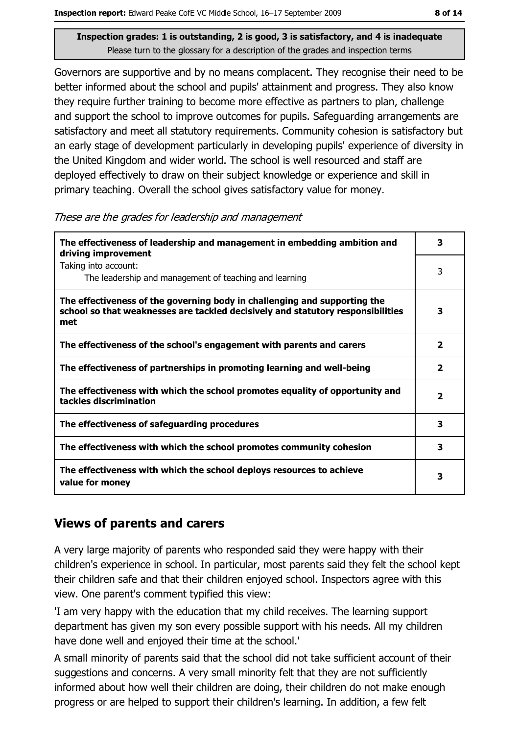Governors are supportive and by no means complacent. They recognise their need to be better informed about the school and pupils' attainment and progress. They also know they require further training to become more effective as partners to plan, challenge and support the school to improve outcomes for pupils. Safeguarding arrangements are satisfactory and meet all statutory requirements. Community cohesion is satisfactory but an early stage of development particularly in developing pupils' experience of diversity in the United Kingdom and wider world. The school is well resourced and staff are deployed effectively to draw on their subject knowledge or experience and skill in primary teaching. Overall the school gives satisfactory value for money.

These are the grades for leadership and management

| The effectiveness of leadership and management in embedding ambition and<br>driving improvement                                                                     | 3                       |
|---------------------------------------------------------------------------------------------------------------------------------------------------------------------|-------------------------|
| Taking into account:<br>The leadership and management of teaching and learning                                                                                      | 3                       |
| The effectiveness of the governing body in challenging and supporting the<br>school so that weaknesses are tackled decisively and statutory responsibilities<br>met | 3                       |
| The effectiveness of the school's engagement with parents and carers                                                                                                | $\overline{\mathbf{2}}$ |
| The effectiveness of partnerships in promoting learning and well-being                                                                                              | 2                       |
| The effectiveness with which the school promotes equality of opportunity and<br>tackles discrimination                                                              | $\overline{\mathbf{2}}$ |
| The effectiveness of safeguarding procedures                                                                                                                        | 3                       |
| The effectiveness with which the school promotes community cohesion                                                                                                 | 3                       |
| The effectiveness with which the school deploys resources to achieve<br>value for money                                                                             | 3                       |

## **Views of parents and carers**

A very large majority of parents who responded said they were happy with their children's experience in school. In particular, most parents said they felt the school kept their children safe and that their children enjoyed school. Inspectors agree with this view. One parent's comment typified this view:

'I am very happy with the education that my child receives. The learning support department has given my son every possible support with his needs. All my children have done well and enjoyed their time at the school."

A small minority of parents said that the school did not take sufficient account of their suggestions and concerns. A very small minority felt that they are not sufficiently informed about how well their children are doing, their children do not make enough progress or are helped to support their children's learning. In addition, a few felt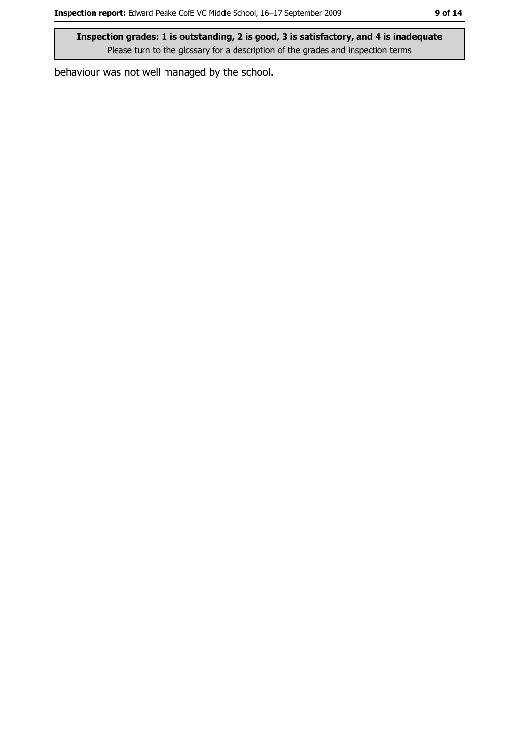behaviour was not well managed by the school.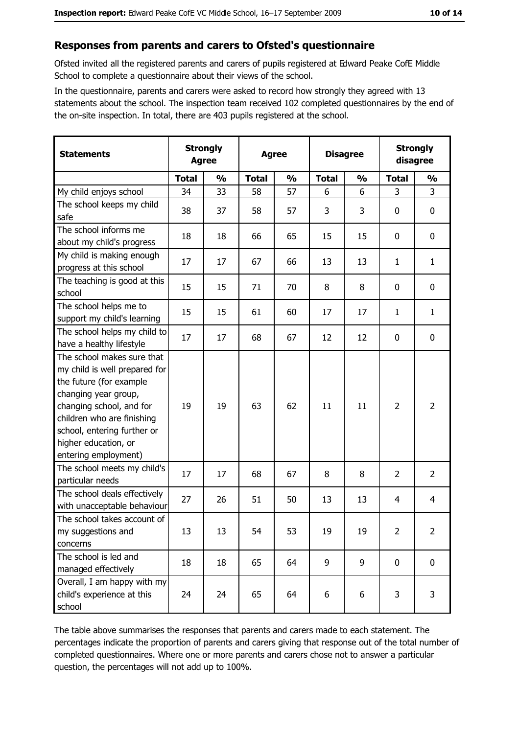#### Responses from parents and carers to Ofsted's questionnaire

Ofsted invited all the registered parents and carers of pupils registered at Edward Peake CofE Middle School to complete a questionnaire about their views of the school.

In the questionnaire, parents and carers were asked to record how strongly they agreed with 13 statements about the school. The inspection team received 102 completed questionnaires by the end of the on-site inspection. In total, there are 403 pupils registered at the school.

| <b>Statements</b>                                                                                                                                                                                                                                       | <b>Strongly</b><br><b>Agree</b> |               | <b>Agree</b> |               | <b>Disagree</b> |               | <b>Strongly</b><br>disagree |                |
|---------------------------------------------------------------------------------------------------------------------------------------------------------------------------------------------------------------------------------------------------------|---------------------------------|---------------|--------------|---------------|-----------------|---------------|-----------------------------|----------------|
|                                                                                                                                                                                                                                                         | <b>Total</b>                    | $\frac{0}{0}$ | <b>Total</b> | $\frac{0}{0}$ | <b>Total</b>    | $\frac{0}{0}$ | <b>Total</b>                | $\frac{0}{0}$  |
| My child enjoys school                                                                                                                                                                                                                                  | 34                              | 33            | 58           | 57            | 6               | 6             | 3                           | 3              |
| The school keeps my child<br>safe                                                                                                                                                                                                                       | 38                              | 37            | 58           | 57            | 3               | 3             | 0                           | $\mathbf 0$    |
| The school informs me<br>about my child's progress                                                                                                                                                                                                      | 18                              | 18            | 66           | 65            | 15              | 15            | 0                           | 0              |
| My child is making enough<br>progress at this school                                                                                                                                                                                                    | 17                              | 17            | 67           | 66            | 13              | 13            | 1                           | $\mathbf{1}$   |
| The teaching is good at this<br>school                                                                                                                                                                                                                  | 15                              | 15            | 71           | 70            | 8               | 8             | 0                           | $\mathbf 0$    |
| The school helps me to<br>support my child's learning                                                                                                                                                                                                   | 15                              | 15            | 61           | 60            | 17              | 17            | 1                           | $\mathbf{1}$   |
| The school helps my child to<br>have a healthy lifestyle                                                                                                                                                                                                | 17                              | 17            | 68           | 67            | 12              | 12            | 0                           | 0              |
| The school makes sure that<br>my child is well prepared for<br>the future (for example<br>changing year group,<br>changing school, and for<br>children who are finishing<br>school, entering further or<br>higher education, or<br>entering employment) | 19                              | 19            | 63           | 62            | 11              | 11            | $\overline{2}$              | $\overline{2}$ |
| The school meets my child's<br>particular needs                                                                                                                                                                                                         | 17                              | 17            | 68           | 67            | 8               | 8             | 2                           | $\overline{2}$ |
| The school deals effectively<br>with unacceptable behaviour                                                                                                                                                                                             | 27                              | 26            | 51           | 50            | 13              | 13            | 4                           | $\overline{4}$ |
| The school takes account of<br>my suggestions and<br>concerns                                                                                                                                                                                           | 13                              | 13            | 54           | 53            | 19              | 19            | $\overline{2}$              | $\overline{2}$ |
| The school is led and<br>managed effectively                                                                                                                                                                                                            | 18                              | 18            | 65           | 64            | 9               | 9             | $\mathbf 0$                 | $\mathbf 0$    |
| Overall, I am happy with my<br>child's experience at this<br>school                                                                                                                                                                                     | 24                              | 24            | 65           | 64            | 6               | 6             | 3                           | 3              |

The table above summarises the responses that parents and carers made to each statement. The percentages indicate the proportion of parents and carers giving that response out of the total number of completed questionnaires. Where one or more parents and carers chose not to answer a particular question, the percentages will not add up to 100%.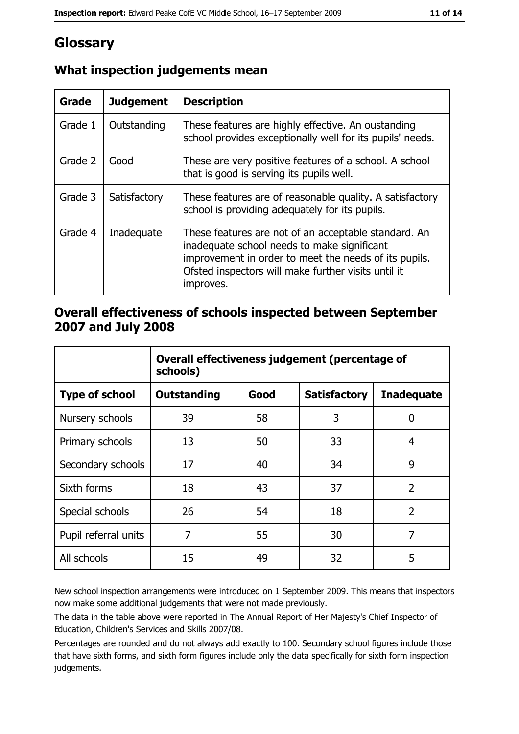# Glossary

| <b>Grade</b> | <b>Judgement</b> | <b>Description</b>                                                                                                                                                                                                               |
|--------------|------------------|----------------------------------------------------------------------------------------------------------------------------------------------------------------------------------------------------------------------------------|
| Grade 1      | Outstanding      | These features are highly effective. An oustanding<br>school provides exceptionally well for its pupils' needs.                                                                                                                  |
| Grade 2      | Good             | These are very positive features of a school. A school<br>that is good is serving its pupils well.                                                                                                                               |
| Grade 3      | Satisfactory     | These features are of reasonable quality. A satisfactory<br>school is providing adequately for its pupils.                                                                                                                       |
| Grade 4      | Inadequate       | These features are not of an acceptable standard. An<br>inadequate school needs to make significant<br>improvement in order to meet the needs of its pupils.<br>Ofsted inspectors will make further visits until it<br>improves. |

# What inspection judgements mean

## Overall effectiveness of schools inspected between September 2007 and July 2008

|                       | Overall effectiveness judgement (percentage of<br>schools) |      |                     |                   |
|-----------------------|------------------------------------------------------------|------|---------------------|-------------------|
| <b>Type of school</b> | <b>Outstanding</b>                                         | Good | <b>Satisfactory</b> | <b>Inadequate</b> |
| Nursery schools       | 39                                                         | 58   | 3                   | 0                 |
| Primary schools       | 13                                                         | 50   | 33                  | 4                 |
| Secondary schools     | 17                                                         | 40   | 34                  | 9                 |
| Sixth forms           | 18                                                         | 43   | 37                  | $\overline{2}$    |
| Special schools       | 26                                                         | 54   | 18                  | $\overline{2}$    |
| Pupil referral units  | 7                                                          | 55   | 30                  | 7                 |
| All schools           | 15                                                         | 49   | 32                  | 5                 |

New school inspection arrangements were introduced on 1 September 2009. This means that inspectors now make some additional judgements that were not made previously.

The data in the table above were reported in The Annual Report of Her Majesty's Chief Inspector of Education, Children's Services and Skills 2007/08.

Percentages are rounded and do not always add exactly to 100. Secondary school figures include those that have sixth forms, and sixth form figures include only the data specifically for sixth form inspection judgements.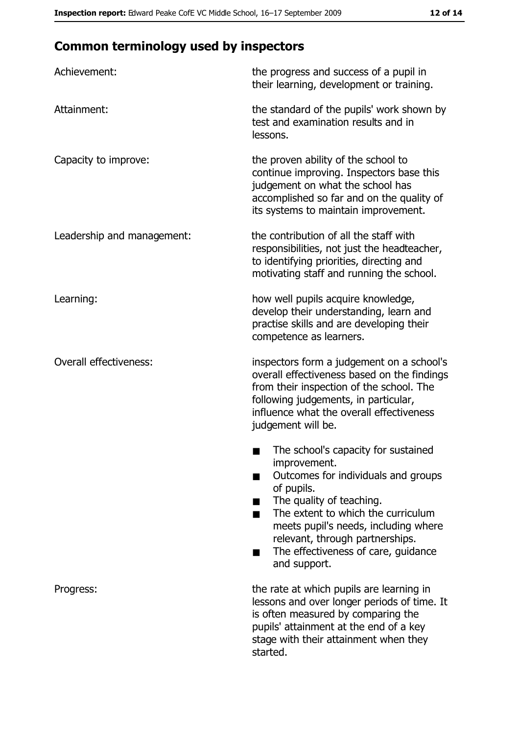# **Common terminology used by inspectors**

| Achievement:                  | the progress and success of a pupil in<br>their learning, development or training.                                                                                                                                                                                                                           |
|-------------------------------|--------------------------------------------------------------------------------------------------------------------------------------------------------------------------------------------------------------------------------------------------------------------------------------------------------------|
| Attainment:                   | the standard of the pupils' work shown by<br>test and examination results and in<br>lessons.                                                                                                                                                                                                                 |
| Capacity to improve:          | the proven ability of the school to<br>continue improving. Inspectors base this<br>judgement on what the school has<br>accomplished so far and on the quality of<br>its systems to maintain improvement.                                                                                                     |
| Leadership and management:    | the contribution of all the staff with<br>responsibilities, not just the headteacher,<br>to identifying priorities, directing and<br>motivating staff and running the school.                                                                                                                                |
| Learning:                     | how well pupils acquire knowledge,<br>develop their understanding, learn and<br>practise skills and are developing their<br>competence as learners.                                                                                                                                                          |
| <b>Overall effectiveness:</b> | inspectors form a judgement on a school's<br>overall effectiveness based on the findings<br>from their inspection of the school. The<br>following judgements, in particular,<br>influence what the overall effectiveness<br>judgement will be.                                                               |
|                               | The school's capacity for sustained<br>improvement.<br>Outcomes for individuals and groups<br>of pupils.<br>The quality of teaching.<br>The extent to which the curriculum<br>meets pupil's needs, including where<br>relevant, through partnerships.<br>The effectiveness of care, guidance<br>and support. |
| Progress:                     | the rate at which pupils are learning in<br>lessons and over longer periods of time. It<br>is often measured by comparing the<br>pupils' attainment at the end of a key<br>stage with their attainment when they<br>started.                                                                                 |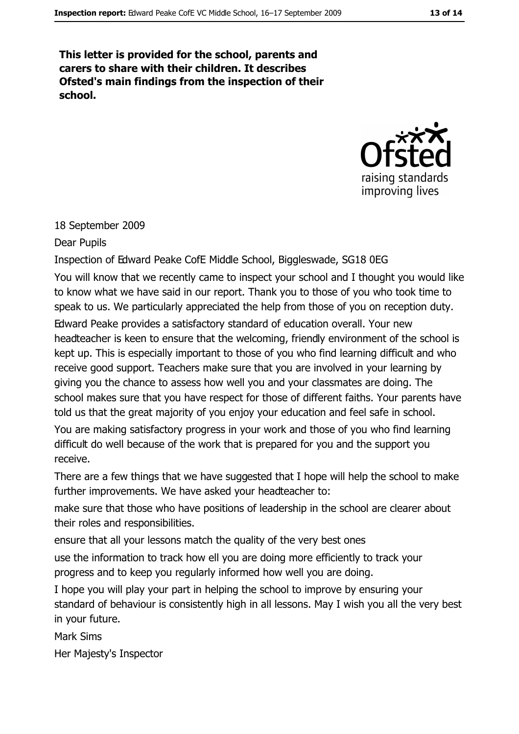This letter is provided for the school, parents and carers to share with their children. It describes Ofsted's main findings from the inspection of their school.



#### 18 September 2009

Dear Pupils

Inspection of Edward Peake CofE Middle School, Biggleswade, SG18 0EG

You will know that we recently came to inspect your school and I thought you would like to know what we have said in our report. Thank you to those of you who took time to speak to us. We particularly appreciated the help from those of you on reception duty. Edward Peake provides a satisfactory standard of education overall. Your new headteacher is keen to ensure that the welcoming, friendly environment of the school is kept up. This is especially important to those of you who find learning difficult and who receive good support. Teachers make sure that you are involved in your learning by giving you the chance to assess how well you and your classmates are doing. The school makes sure that you have respect for those of different faiths. Your parents have told us that the great majority of you enjoy your education and feel safe in school.

You are making satisfactory progress in your work and those of you who find learning difficult do well because of the work that is prepared for you and the support you receive.

There are a few things that we have suggested that I hope will help the school to make further improvements. We have asked your headteacher to:

make sure that those who have positions of leadership in the school are clearer about their roles and responsibilities.

ensure that all your lessons match the quality of the very best ones

use the information to track how ell you are doing more efficiently to track your progress and to keep you regularly informed how well you are doing.

I hope you will play your part in helping the school to improve by ensuring your standard of behaviour is consistently high in all lessons. May I wish you all the very best in your future.

**Mark Sims** 

Her Majesty's Inspector